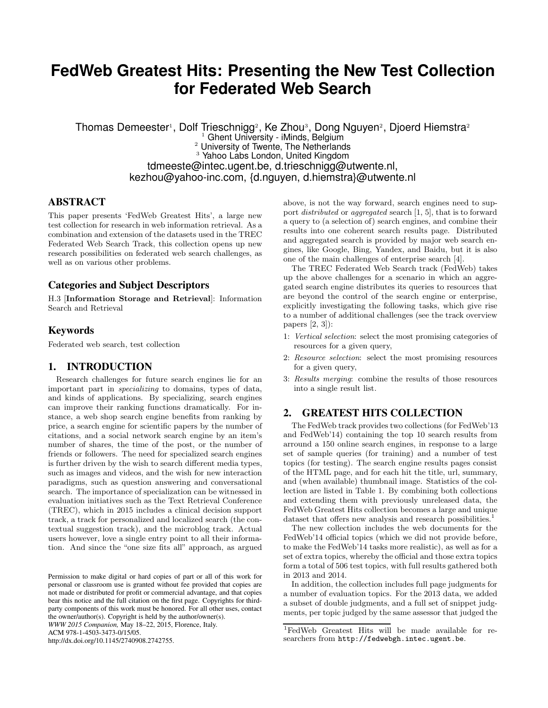# **FedWeb Greatest Hits: Presenting the New Test Collection for Federated Web Search**

Thomas Demeester<sup>1</sup>, Dolf Trieschnigg<sup>2</sup>, Ke Zhou<sup>3</sup>, Dong Nguyen<sup>2</sup>, Djoerd Hiemstra<sup>2</sup>  $1$  Ghent University - iMinds, Belgium <sup>2</sup> University of Twente, The Netherlands <sup>3</sup> Yahoo Labs London, United Kingdom tdmeeste@intec.ugent.be, d.trieschnigg@utwente.nl, kezhou@yahoo-inc.com, {d.nguyen, d.hiemstra}@utwente.nl

## **ABSTRACT**

This paper presents 'FedWeb Greatest Hits', a large new test collection for research in web information retrieval. As a combination and extension of the datasets used in the TREC Federated Web Search Track, this collection opens up new research possibilities on federated web search challenges, as well as on various other problems.

### **Categories and Subject Descriptors**

H.3 [Information Storage and Retrieval]: Information Search and Retrieval

#### **Keywords**

Federated web search, test collection

# **1. INTRODUCTION**

Research challenges for future search engines lie for an important part in specializing to domains, types of data, and kinds of applications. By specializing, search engines can improve their ranking functions dramatically. For instance, a web shop search engine benefits from ranking by price, a search engine for scientific papers by the number of citations, and a social network search engine by an item's number of shares, the time of the post, or the number of friends or followers. The need for specialized search engines is further driven by the wish to search different media types, such as images and videos, and the wish for new interaction paradigms, such as question answering and conversational search. The importance of specialization can be witnessed in evaluation initiatives such as the Text Retrieval Conference (TREC), which in 2015 includes a clinical decision support track, a track for personalized and localized search (the contextual suggestion track), and the microblog track. Actual users however, love a single entry point to all their information. And since the "one size fits all" approach, as argued

*WWW 2015 Companion,* May 18–22, 2015, Florence, Italy.

ACM 978-1-4503-3473-0/15/05.

http://dx.doi.org/10.1145/2740908.2742755.

above, is not the way forward, search engines need to support distributed or aggregated search [1, 5], that is to forward a query to (a selection of) search engines, and combine their results into one coherent search results page. Distributed and aggregated search is provided by major web search engines, like Google, Bing, Yandex, and Baidu, but it is also one of the main challenges of enterprise search [4].

The TREC Federated Web Search track (FedWeb) takes up the above challenges for a scenario in which an aggregated search engine distributes its queries to resources that are beyond the control of the search engine or enterprise, explicitly investigating the following tasks, which give rise to a number of additional challenges (see the track overview papers [2, 3]):

- 1: Vertical selection: select the most promising categories of resources for a given query,
- 2: Resource selection: select the most promising resources for a given query,
- 3: Results merging: combine the results of those resources into a single result list.

# **2. GREATEST HITS COLLECTION**

The FedWeb track provides two collections (for FedWeb'13 and FedWeb'14) containing the top 10 search results from arround a 150 online search engines, in response to a large set of sample queries (for training) and a number of test topics (for testing). The search engine results pages consist of the HTML page, and for each hit the title, url, summary, and (when available) thumbnail image. Statistics of the collection are listed in Table 1. By combining both collections and extending them with previously unreleased data, the FedWeb Greatest Hits collection becomes a large and unique dataset that offers new analysis and research possibilities.<sup>1</sup>

The new collection includes the web documents for the FedWeb'14 official topics (which we did not provide before, to make the FedWeb'14 tasks more realistic), as well as for a set of extra topics, whereby the official and those extra topics form a total of 506 test topics, with full results gathered both in 2013 and 2014.

In addition, the collection includes full page judgments for a number of evaluation topics. For the 2013 data, we added a subset of double judgments, and a full set of snippet judgments, per topic judged by the same assessor that judged the

Permission to make digital or hard copies of part or all of this work for personal or classroom use is granted without fee provided that copies are not made or distributed for profit or commercial advantage, and that copies bear this notice and the full citation on the first page. Copyrights for thirdparty components of this work must be honored. For all other uses, contact the owner/author(s). Copyright is held by the author/owner(s).

<sup>1</sup>FedWeb Greatest Hits will be made available for researchers from http://fedwebgh.intec.ugent.be.